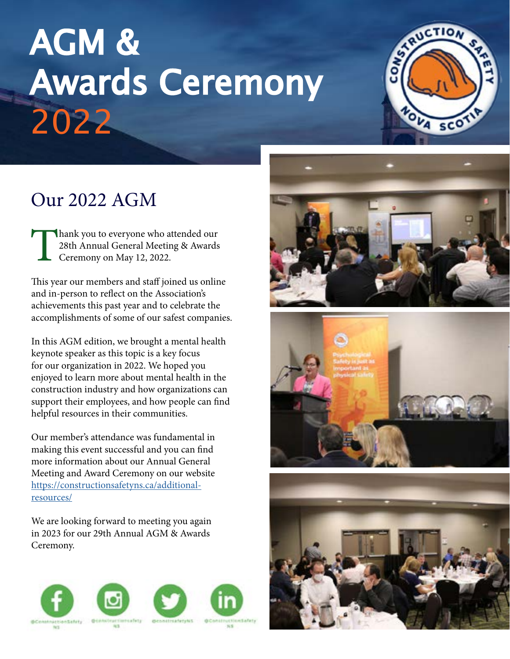# AGM & Awards Ceremony 2022



## Our 2022 AGM

Thank you to everyone who attended our 28th Annual General Meeting & Awards Ceremony on May 12, 2022.

This year our members and staff joined us online and in-person to reflect on the Association's achievements this past year and to celebrate the accomplishments of some of our safest companies.

In this AGM edition, we brought a mental health keynote speaker as this topic is a key focus for our organization in 2022. We hoped you enjoyed to learn more about mental health in the construction industry and how organizations can support their employees, and how people can find helpful resources in their communities.

Our member's attendance was fundamental in making this event successful and you can find more information about our Annual General Meeting and Award Ceremony on our website https://constructionsafetyns.ca/additionalresources/

We are looking forward to meeting you again in 2023 for our 29th Annual AGM & Awards Ceremony.







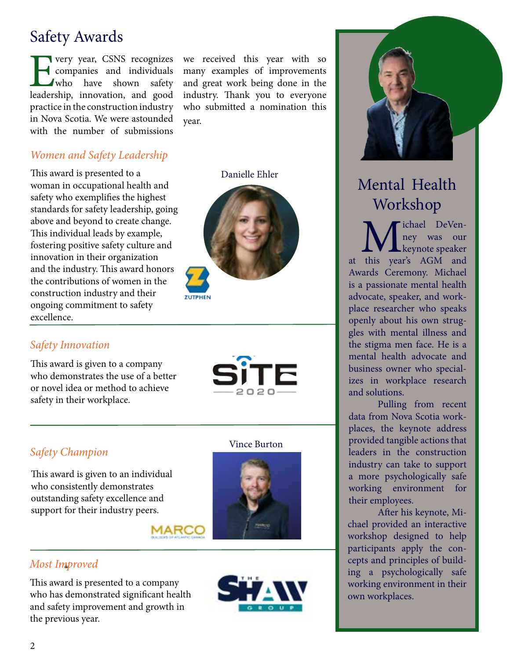## Safety Awards

**EVERNS** recognizes<br>
companies and individuals<br>
who have shown safety<br>
leadership, innovation, and good companies and individuals who have shown safety practice in the construction industry in Nova Scotia. We were astounded with the number of submissions

#### *Women and Safety Leadership*

This award is presented to a Danielle Ehler woman in occupational health and safety who exemplifies the highest standards for safety leadership, going above and beyond to create change. This individual leads by example, fostering positive safety culture and innovation in their organization and the industry. This award honors the contributions of women in the construction industry and their ongoing commitment to safety excellence.

we received this year with so many examples of improvements and great work being done in the industry. Thank you to everyone who submitted a nomination this year.





*Safety Innovation* 

This award is given to a company who demonstrates the use of a better or novel idea or method to achieve safety in their workplace.



#### *Safety Champion*

This award is given to an individual who consistently demonstrates outstanding safety excellence and support for their industry peers.



#### *Most Improved*

This award is presented to a company who has demonstrated significant health and safety improvement and growth in the previous year.



Vince Burton



## Mental Health Workshop

**M** ichael DeVen-<br>
ney was our<br>
at this year's AGM and ney was our keynote speaker Awards Ceremony. Michael is a passionate mental health advocate, speaker, and workplace researcher who speaks openly about his own struggles with mental illness and the stigma men face. He is a mental health advocate and business owner who specializes in workplace research and solutions.

Pulling from recent data from Nova Scotia workplaces, the keynote address provided tangible actions that leaders in the construction industry can take to support a more psychologically safe working environment for their employees.

After his keynote, Michael provided an interactive workshop designed to help participants apply the concepts and principles of building a psychologically safe working environment in their own workplaces.